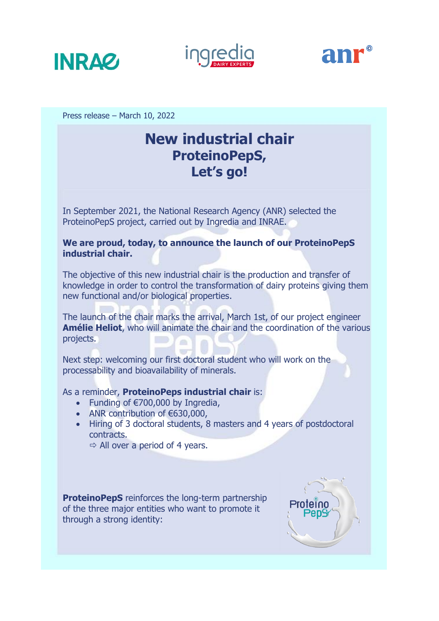





Press release – March 10, 2022

# **New industrial chair ProteinoPepS, Let's go!**

In September 2021, the National Research Agency (ANR) selected the ProteinoPepS project, carried out by Ingredia and INRAE.

# **We are proud, today, to announce the launch of our ProteinoPepS industrial chair.**

The objective of this new industrial chair is the production and transfer of knowledge in order to control the transformation of dairy proteins giving them new functional and/or biological properties.

The launch of the chair marks the arrival, March 1st, of our project engineer **Amélie Heliot**, who will animate the chair and the coordination of the various projects.

Next step: welcoming our first doctoral student who will work on the processability and bioavailability of minerals.

As a reminder, **ProteinoPeps industrial chair** is:

- Funding of €700,000 by Ingredia,
- ANR contribution of  $€630,000,$
- Hiring of 3 doctoral students, 8 masters and 4 years of postdoctoral contracts.

 $\Rightarrow$  All over a period of 4 years.

**ProteinoPepS** reinforces the long-term partnership of the three major entities who want to promote it through a strong identity:

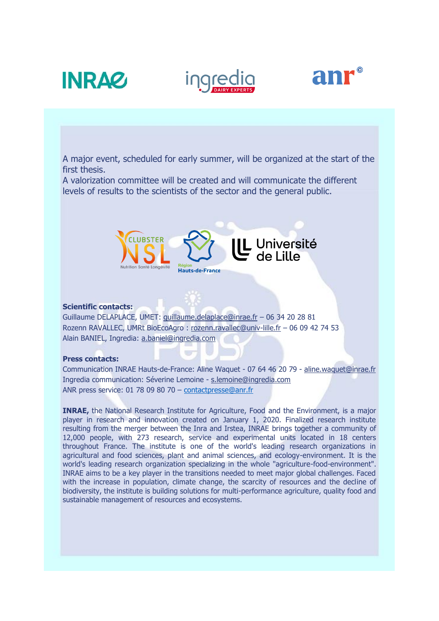





A major event, scheduled for early summer, will be organized at the start of the first thesis.

A valorization committee will be created and will communicate the different levels of results to the scientists of the sector and the general public.



## **Scientific contacts:**

Guillaume DELAPLACE, UMET: [guillaume.delaplace@inrae.fr](mailto:guillaume.delaplace@inrae.fr) – 06 34 20 28 81 Rozenn RAVALLEC, UMRt BioEcoAgro : [rozenn.ravallec@univ-lille.fr](mailto:rozenn.ravallec@univ-lille.fr) – 06 09 42 74 53 Alain BANIEL, Ingredia: [a.baniel@ingredia.com](mailto:a.baniel@ingredia.com)

### **Press contacts:**

Communication INRAE Hauts-de-France: Aline Waquet - 07 64 46 20 79 - [aline.waquet@inrae.fr](mailto:aline.waquet@inrae.fr) Ingredia communication: Séverine Lemoine - [s.lemoine@ingredia.com](mailto:s.lemoine@ingredia.com) ANR press service: 01 78 09 80 70 – [contactpresse@anr.fr](mailto:contactpresse@anr.fr)

**INRAE,** the National Research Institute for Agriculture, Food and the Environment, is a major player in research and innovation created on January 1, 2020. Finalized research institute resulting from the merger between the Inra and Irstea, INRAE brings together a community of 12,000 people, with 273 research, service and experimental units located in 18 centers throughout France. The institute is one of the world's leading research organizations in agricultural and food sciences, plant and animal sciences, and ecology-environment. It is the world's leading research organization specializing in the whole "agriculture-food-environment". INRAE aims to be a key player in the transitions needed to meet major global challenges. Faced with the increase in population, climate change, the scarcity of resources and the decline of biodiversity, the institute is building solutions for multi-performance agriculture, quality food and sustainable management of resources and ecosystems.